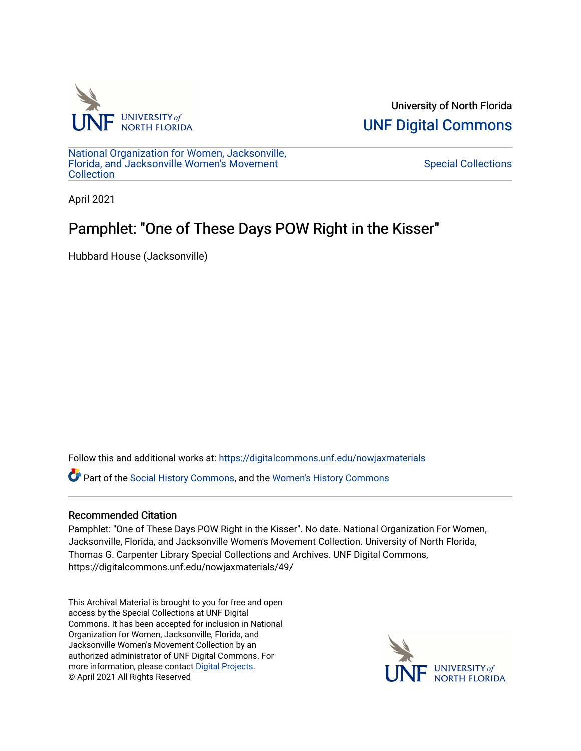

University of North Florida [UNF Digital Commons](https://digitalcommons.unf.edu/) 

[National Organization for Women, Jacksonville,](https://digitalcommons.unf.edu/nowjaxmaterials) [Florida, and Jacksonville Women's Movement](https://digitalcommons.unf.edu/nowjaxmaterials) [Collection](https://digitalcommons.unf.edu/nowjaxmaterials) 

[Special Collections](https://digitalcommons.unf.edu/special_collections) 

April 2021

#### Pamphlet: "One of These Days POW Right in the Kisser"

Hubbard House (Jacksonville)

Follow this and additional works at: [https://digitalcommons.unf.edu/nowjaxmaterials](https://digitalcommons.unf.edu/nowjaxmaterials?utm_source=digitalcommons.unf.edu%2Fnowjaxmaterials%2F49&utm_medium=PDF&utm_campaign=PDFCoverPages) 

Part of the [Social History Commons](http://network.bepress.com/hgg/discipline/506?utm_source=digitalcommons.unf.edu%2Fnowjaxmaterials%2F49&utm_medium=PDF&utm_campaign=PDFCoverPages), and the [Women's History Commons](http://network.bepress.com/hgg/discipline/507?utm_source=digitalcommons.unf.edu%2Fnowjaxmaterials%2F49&utm_medium=PDF&utm_campaign=PDFCoverPages)

#### Recommended Citation

Pamphlet: "One of These Days POW Right in the Kisser". No date. National Organization For Women, Jacksonville, Florida, and Jacksonville Women's Movement Collection. University of North Florida, Thomas G. Carpenter Library Special Collections and Archives. UNF Digital Commons, https://digitalcommons.unf.edu/nowjaxmaterials/49/

This Archival Material is brought to you for free and open access by the Special Collections at UNF Digital Commons. It has been accepted for inclusion in National Organization for Women, Jacksonville, Florida, and Jacksonville Women's Movement Collection by an authorized administrator of UNF Digital Commons. For more information, please contact [Digital Projects](mailto:lib-digital@unf.edu). © April 2021 All Rights Reserved

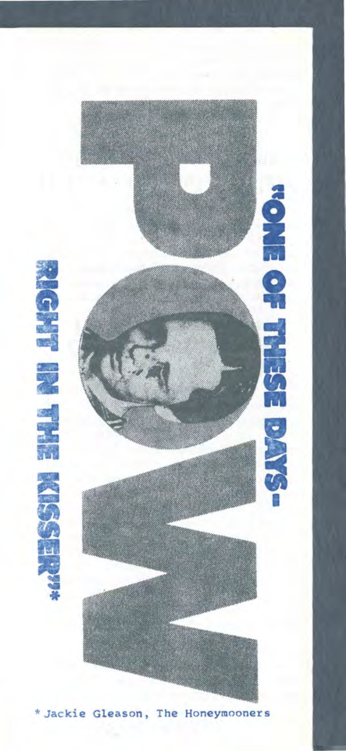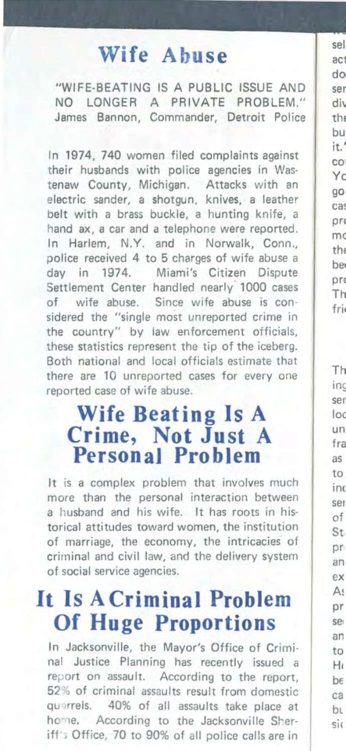#### Wife Abuse

"WIFE-BEATING IS A PUBLIC ISSUE AND NO LONGER A PRIVATE PROBLEM." James Bannon, Commander, Detroit Police

In 1974, 740 women filed complaints against their husbands with police agencies in Wastenaw County, Michigan, Attacks with an electric sander, a shotqun, knives, a leather belt with a brass buckle, a hunting knife, a hand ax, a car and a telephone were reported. In Harlem, N.Y. and in Norwalk, Conn., police received 4 to 5 charges of wife abuse a day in 1974. Miami's Citizen Dispute Settlement Center handled nearly 1000 cases of wife abuse. Since wife abuse is considered the "single most unreported crime in the country" by law enforcement officials, these statistics represent the tip of the iceberg. Both national and local officials estimate that there are 10 unreported cases for every one reported case of wife abuse.

## **Wife Beating Is A Crime, Not Just A**<br>Personal Problem

It is a complex problem that involves much more than the personal interaction between a husband and his wife. It has roots in historical attitudes toward women, the institution of marriage, the economy, the intricacies of criminal and civil law, and the delivery system of social service agencies.

#### It Is A Criminal Problem **Of Huge Proportions**

In Jacksonville, the Mayor's Office of Criminal Justice Planning has recently issued a report on assault. According to the report, 52% of criminal assaults result from domestic quarrels. 40% of all assaults take place at home. According to the Jacksonville Sheriff's Office, 70 to 90% of all police calls are in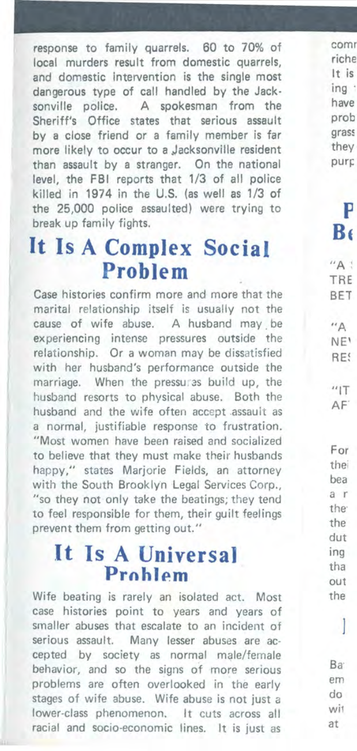response to family quarrels. 60 to 70% of local murders result from domestic quarrels, and domestic intervention is the single most dangerous type of call handled by the Jacksonville police. A spokesman from the Sheriff's Office states that serious assault by a close friend or a family member is far more likely to occur to a Jacksonville resident than assault by a stranger. On the national level, the FBI reports that 1/3 of all police killed in 1974 in the U.S. (as well as 1/3 of the 25,000 police assaulted) were trying to break up family fights.

#### **It Is A Complex Social Problem**

Case histories confirm more and more that the marital relationship itself is usually not the cause of wife abuse. A husband may be experiencing intense pressures outside the relationship. Or a woman may be dissatisfied with her husband's performance outside the marriage. When the pressures build up, the husband resorts to physical abuse. Both the husband and the wife often accept .assault as a normal, justifiable response to frustration. "Most women have been raised and socialized to believe that they must make their husbands happy," states Mariorie Fields, an attorney with the South Brooklyn Legal Services Corp., "so they not only take the beatings; they tend to feel responsible for them, their guilt feelings prevent them from getting out."

#### **It Is A Universal Problem**

Wife beating is rarely an isolated act. Most case histories point to years and years of smaller abuses that escalate to an incident of serious assault. Many lesser abuses are accepted by society as normal male/female behavior, and so the signs of more serious problems are often overlooked in the early stages of wife abuse. Wife abuse is not just a lower-class phenomenon. It cuts across all racial and socio-economic lines. It is just as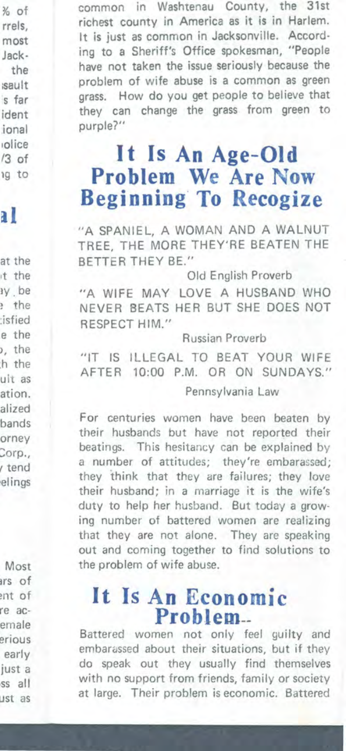common in Washtenau County, the 31st richest county in America as it is in Harlem. It is just as common in Jacksonville. According to a Sheriff's Office spokesman, "People have not taken the issue seriously because the problem of wife abuse is a common as green grass. How do you get people to believe that they can change the grass from green to purple?"

#### **It Is An Age-Old Problem We Are Now Beginning· To Recogize**

"A SPANIEL, A WOMAN AND A WALNUT TREE, THE MORE THEY'RE BEATEN THE BETTER THEY BE."

Old English Proverb

"A WIFE MAY LOVE A HUSBAND WHO NEVER BEATS HER BUT SHE DOES NOT RESPECT HIM."

Russian Proverb

"IT IS ILLEGAL TO BEAT YOUR WIFE AFTER 10:00 P.M. OR ON SUNDAYS." Pennsylvania Law

For centuries women have been beaten by their husbands but have not reported their beatings. This hesitancy can be explained by a number of attitudes; they're embarassed; they think that they are failures; they love their husband; in a marriage it is the wife's duty to help her husband. But today a growing number of battered women are realizing that they are not alone. They are speaking out and coming together to find solutions to the problem of wife abuse.

# **It Is An Economic**

Battered women not only feel guilty and embarassed about their situations, but if they do speak out they usually find themselves with no support from friends, family or society at large. Their problem is economic. Battered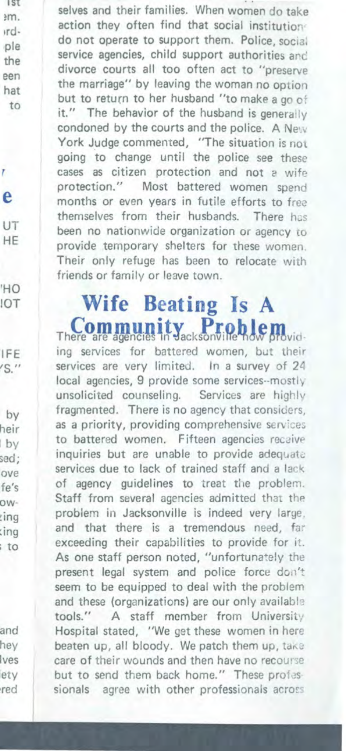selves and their families. When women do take action they often find that social institutions do not operate to support them. Police, social service agencies, child support authorities and divorce courts all too often act to "preserve the marriage" by leaving the woman no option but to return to her husband "to make a go of it." The behavior of the husband is generally condoned by the courts and the police. A New York Judge commented, "The situation is not going to change until the police see these cases as citizen protection and not a wife protection." Most battered women spend months or even years in futile efforts to free themselves from their husbands. There has been no nationwide organization or agency to provide temporary shelters for these women. Their only refuge has been to relocate with friends or family or leave town.

### Wife Beating Is A There are agencies in Vacksonville h.d.

ing services for battered women, but their services are very limited. In a survey of 24 local agencies, 9 provide some services--mostly unsolicited counseling. Services are highly fragmented. There is no agency that considers, as a priority, providing comprehensive services to battered women. Fifteen agencies recaive inquiries but are unable to provide adequate services due to lack of trained staff and a lack of agency quidelines to treat the problem. Staff from several agencies admitted that the problem in Jacksonville is indeed very large, and that there is a tremendous need, far exceeding their capabilities to provide for it. As one staff person noted, "unfortunately the present legal system and police force don't seem to be equipped to deal with the problem and these (organizations) are our only available tools." A staff member from University Hospital stated, "We get these women in here beaten up, all bloody. We patch them up, take care of their wounds and then have no recourse but to send them back home." These professionals agree with other professionals across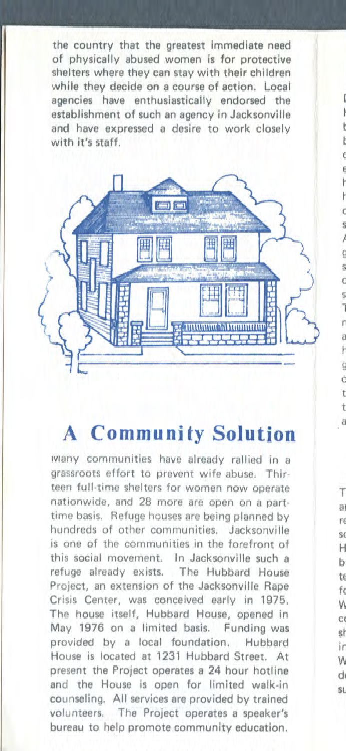the country that the greatest immediate need of physically abused women is for protective shelters where they can stay with their children while they decide on a course of action. Local agencies have enthusiastically endorsed the establishment of such an agency in Jacksonville and have expressed a desire to work closely with it's staff.



#### **A** Community Solution

wiany communities have already rallied in a grassroots effort to prevent wife abuse. Thirteen full-time shelters for women now operate nationwide, and 28 more are open on a parttime basis. Refuge houses are being planned by hundreds of other communities. Jacksonville is one of the communities in the forefront of this social movement. In Jacksonville such a refuge already exists. The Hubbard House Project, an extension of the Jacksonville Rape Crisis Center, was conceived early in 1975, The house itself, Hubbard House, opened in May 1976 on a limited basis. Funding was provided by a local foundation. Hubbard House is located at 1231 Hubbard Street. At present the Project operates a 24 hour hotline and the House is open for limited walk-in counseling. All services are provided by trained volunteers. The Project operates a speaker's bureau to help promote community education.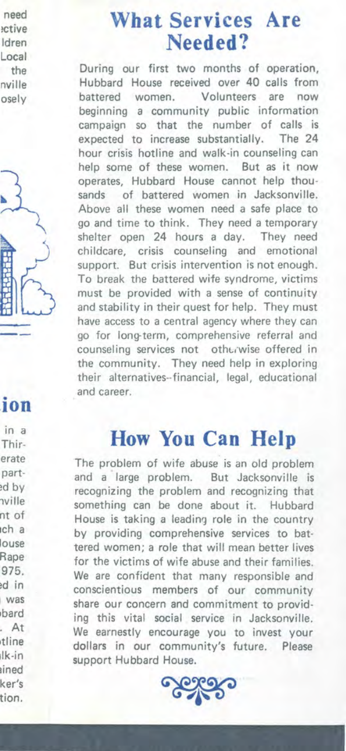#### **What Services Are Needed?**

During our first two months of operation, Hubbard House received over 40 calls from battered women. Volunteers are now beginning a community public information campaign so that the number of calls is expected to increase substantially. The 24 hour crisis hotline and walk-in counseling can help some of these women. But as it now operates, Hubbard House cannot help thousands of battered women in Jacksonville. Above all these women need a safe place to go and time to think. They need a temporary shelter open 24 hours a day. They need childcare, crisis counseling and emotional support. But crisis intervention is not enough. To break the battered wife syndrome, victims must be provided with a sense of continuity and stability in their quest for help. They must have access to a central agency where they can go for long-term, comprehensive referral and counseling services not otherwise offered in the community. They need help in exploring their alternatives•·financial, legal, educational and career.

#### **How You Can Help**

The problem of wife abuse is an old problem and a large problem. But Jacksonville is recognizing the problem and recognizing that something can be done about it. Hubbard House is taking a leading role in the country by providing comprehensive services to battered women; a role that will mean better lives for the victims of wife abuse and their families. We are confident that many responsible and conscientious members of our community share our concern and commitment to providing this vital social service in Jacksonville. We earnestly encourage you to invest your dollars in our community's future. Please support Hubbard House.